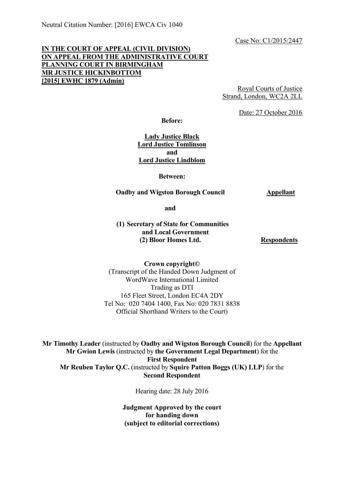Case No: C1/2015/2447

### **IN THE COURT OF APPEAL (CIVIL DIVISION) ON APPEAL FROM THE ADMINISTRATIVE COURT PLANNING COURT IN BIRMINGHAM MR JUSTICE HICKINBOTTOM [2015] EWHC 1879 (Admin)**

Royal Courts of Justice Strand, London, WC2A 2LL

Date: 27 October 2016

**Before:**

**Lady Justice Black Lord Justice Tomlinson and Lord Justice Lindblom**

**Between:**

**Oadby and Wigston Borough Council Appellant**

**and** 

**(1) Secretary of State for Communities and Local Government (2) Bloor Homes Ltd. Respondents**

**Crown copyright©** (Transcript of the Handed Down Judgment of WordWave International Limited Trading as DTI 165 Fleet Street, London EC4A 2DY Tel No: 020 7404 1400, Fax No: 020 7831 8838 Official Shorthand Writers to the Court)

**Mr Timothy Leader** (instructed by **Oadby and Wigston Borough Council**) for the **Appellant Mr Gwion Lewis** (instructed by **the Government Legal Department**) for the **First Respondent Mr Reuben Taylor Q.C.** (instructed by **Squire Patton Boggs (UK) LLP**) for the **Second Respondent**

Hearing date: 28 July 2016

**Judgment Approved by the court for handing down (subject to editorial corrections)**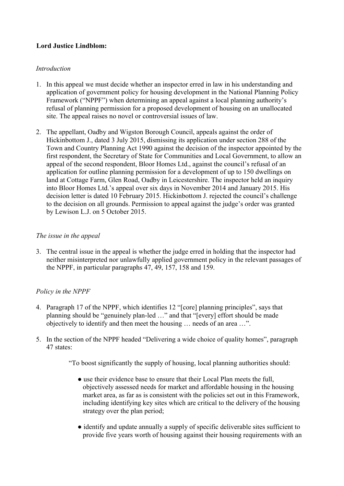# **Lord Justice Lindblom:**

# *Introduction*

- 1. In this appeal we must decide whether an inspector erred in law in his understanding and application of government policy for housing development in the National Planning Policy Framework ("NPPF") when determining an appeal against a local planning authority's refusal of planning permission for a proposed development of housing on an unallocated site. The appeal raises no novel or controversial issues of law.
- 2. The appellant, Oadby and Wigston Borough Council, appeals against the order of Hickinbottom J., dated 3 July 2015, dismissing its application under section 288 of the Town and Country Planning Act 1990 against the decision of the inspector appointed by the first respondent, the Secretary of State for Communities and Local Government, to allow an appeal of the second respondent, Bloor Homes Ltd., against the council's refusal of an application for outline planning permission for a development of up to 150 dwellings on land at Cottage Farm, Glen Road, Oadby in Leicestershire. The inspector held an inquiry into Bloor Homes Ltd.'s appeal over six days in November 2014 and January 2015. His decision letter is dated 10 February 2015. Hickinbottom J. rejected the council's challenge to the decision on all grounds. Permission to appeal against the judge's order was granted by Lewison L.J. on 5 October 2015.

# *The issue in the appeal*

3. The central issue in the appeal is whether the judge erred in holding that the inspector had neither misinterpreted nor unlawfully applied government policy in the relevant passages of the NPPF, in particular paragraphs 47, 49, 157, 158 and 159.

# *Policy in the NPPF*

- 4. Paragraph 17 of the NPPF, which identifies 12 "[core] planning principles", says that planning should be "genuinely plan-led …" and that "[every] effort should be made objectively to identify and then meet the housing … needs of an area …".
- 5. In the section of the NPPF headed "Delivering a wide choice of quality homes", paragraph 47 states:
	- "To boost significantly the supply of housing, local planning authorities should:
		- **●** use their evidence base to ensure that their Local Plan meets the full, objectively assessed needs for market and affordable housing in the housing market area, as far as is consistent with the policies set out in this Framework, including identifying key sites which are critical to the delivery of the housing strategy over the plan period;
		- **●** identify and update annually a supply of specific deliverable sites sufficient to provide five years worth of housing against their housing requirements with an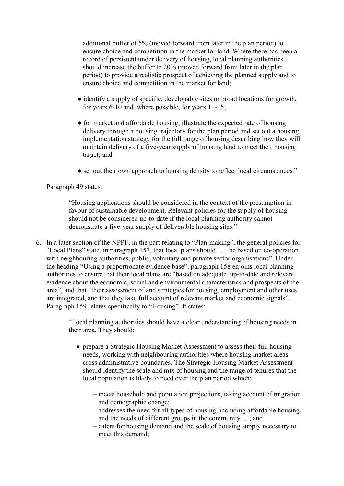additional buffer of 5% (moved forward from later in the plan period) to ensure choice and competition in the market for land. Where there has been a record of persistent under delivery of housing, local planning authorities should increase the buffer to 20% (moved forward from later in the plan period) to provide a realistic prospect of achieving the planned supply and to ensure choice and competition in the market for land;

- **●** identify a supply of specific, developable sites or broad locations for growth, for years 6-10 and, where possible, for years 11-15;
- **●** for market and affordable housing, illustrate the expected rate of housing delivery through a housing trajectory for the plan period and set out a housing implementation strategy for the full range of housing describing how they will maintain delivery of a five-year supply of housing land to meet their housing target; and
- **●** set out their own approach to housing density to reflect local circumstances."

#### Paragraph 49 states:

"Housing applications should be considered in the context of the presumption in favour of sustainable development. Relevant policies for the supply of housing should not be considered up-to-date if the local planning authority cannot demonstrate a five-year supply of deliverable housing sites."

6. In a later section of the NPPF, in the part relating to "Plan-making", the general policies for "Local Plans" state, in paragraph 157, that local plans should "… be based on co-operation with neighbouring authorities, public, voluntary and private sector organisations". Under the heading "Using a proportionate evidence base", paragraph 158 enjoins local planning authorities to ensure that their local plans are "based on adequate, up-to-date and relevant evidence about the economic, social and environmental characteristics and prospects of the area", and that "their assessment of and strategies for housing, employment and other uses are integrated, and that they take full account of relevant market and economic signals". Paragraph 159 relates specifically to "Housing". It states:

> "Local planning authorities should have a clear understanding of housing needs in their area. They should:

- prepare a Strategic Housing Market Assessment to assess their full housing needs, working with neighbouring authorities where housing market areas cross administrative boundaries. The Strategic Housing Market Assessment should identify the scale and mix of housing and the range of tenures that the local population is likely to need over the plan period which:
	- meets household and population projections, taking account of migration and demographic change;
	- addresses the need for all types of housing, including affordable housing and the needs of different groups in the community …; and
	- caters for housing demand and the scale of housing supply necessary to meet this demand;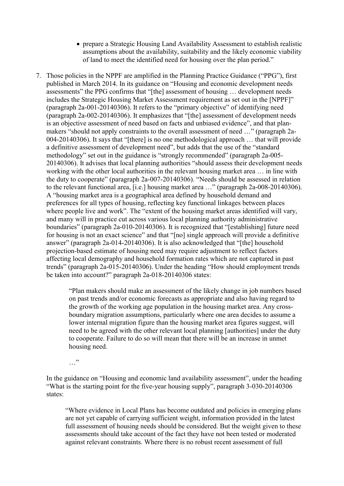- prepare a Strategic Housing Land Availability Assessment to establish realistic assumptions about the availability, suitability and the likely economic viability of land to meet the identified need for housing over the plan period."
- 7. Those policies in the NPPF are amplified in the Planning Practice Guidance ("PPG"), first published in March 2014. In its guidance on "Housing and economic development needs assessments" the PPG confirms that "[the] assessment of housing … development needs includes the Strategic Housing Market Assessment requirement as set out in the [NPPF]" (paragraph 2a-001-20140306). It refers to the "primary objective" of identifying need (paragraph 2a-002-20140306). It emphasizes that "[the] assessment of development needs is an objective assessment of need based on facts and unbiased evidence", and that planmakers "should not apply constraints to the overall assessment of need …" (paragraph 2a-004-20140306). It says that "[there] is no one methodological approach … that will provide a definitive assessment of development need", but adds that the use of the "standard methodology" set out in the guidance is "strongly recommended" (paragraph 2a-005- 20140306). It advises that local planning authorities "should assess their development needs working with the other local authorities in the relevant housing market area … in line with the duty to cooperate" (paragraph 2a-007-20140306). "Needs should be assessed in relation to the relevant functional area, [i.e.] housing market area …" (paragraph 2a-008-20140306). A "housing market area is a geographical area defined by household demand and preferences for all types of housing, reflecting key functional linkages between places where people live and work". The "extent of the housing market areas identified will vary, and many will in practice cut across various local planning authority administrative boundaries" (paragraph 2a-010-20140306). It is recognized that "[establishing] future need for housing is not an exact science" and that "[no] single approach will provide a definitive answer" (paragraph 2a-014-20140306). It is also acknowledged that "[the] household projection-based estimate of housing need may require adjustment to reflect factors affecting local demography and household formation rates which are not captured in past trends" (paragraph 2a-015-20140306). Under the heading "How should employment trends be taken into account?" paragraph 2a-018-20140306 states:

"Plan makers should make an assessment of the likely change in job numbers based on past trends and/or economic forecasts as appropriate and also having regard to the growth of the working age population in the housing market area. Any crossboundary migration assumptions, particularly where one area decides to assume a lower internal migration figure than the housing market area figures suggest, will need to be agreed with the other relevant local planning [authorities] under the duty to cooperate. Failure to do so will mean that there will be an increase in unmet housing need.

 $\cdots$ 

In the guidance on "Housing and economic land availability assessment", under the heading "What is the starting point for the five-year housing supply", paragraph 3-030-20140306 states:

"Where evidence in Local Plans has become outdated and policies in emerging plans are not yet capable of carrying sufficient weight, information provided in the latest full assessment of housing needs should be considered. But the weight given to these assessments should take account of the fact they have not been tested or moderated against relevant constraints. Where there is no robust recent assessment of full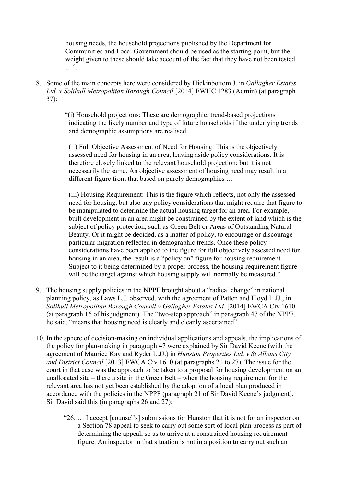housing needs, the household projections published by the Department for Communities and Local Government should be used as the starting point, but the weight given to these should take account of the fact that they have not been tested  $\cdots$  .

8. Some of the main concepts here were considered by Hickinbottom J. in *Gallagher Estates Ltd. v Solihull Metropolitan Borough Council* [2014] EWHC 1283 (Admin) (at paragraph 37):

> "(i) Household projections: These are demographic, trend-based projections indicating the likely number and type of future households if the underlying trends and demographic assumptions are realised. …

(ii) Full Objective Assessment of Need for Housing: This is the objectively assessed need for housing in an area, leaving aside policy considerations. It is therefore closely linked to the relevant household projection; but it is not necessarily the same. An objective assessment of housing need may result in a different figure from that based on purely demographics …

(iii) Housing Requirement: This is the figure which reflects, not only the assessed need for housing, but also any policy considerations that might require that figure to be manipulated to determine the actual housing target for an area. For example, built development in an area might be constrained by the extent of land which is the subject of policy protection, such as Green Belt or Areas of Outstanding Natural Beauty. Or it might be decided, as a matter of policy, to encourage or discourage particular migration reflected in demographic trends. Once these policy considerations have been applied to the figure for full objectively assessed need for housing in an area, the result is a "policy on" figure for housing requirement. Subject to it being determined by a proper process, the housing requirement figure will be the target against which housing supply will normally be measured."

- 9. The housing supply policies in the NPPF brought about a "radical change" in national planning policy, as Laws L.J. observed, with the agreement of Patten and Floyd L.JJ., in *Solihull Metropolitan Borough Council v Gallagher Estates Ltd.* [2014] EWCA Civ 1610 (at paragraph 16 of his judgment). The "two-step approach" in paragraph 47 of the NPPF, he said, "means that housing need is clearly and cleanly ascertained".
- 10. In the sphere of decision-making on individual applications and appeals, the implications of the policy for plan-making in paragraph 47 were explained by Sir David Keene (with the agreement of Maurice Kay and Ryder L.JJ.) in *Hunston Properties Ltd. v St Albans City and District Council* [2013] EWCA Civ 1610 (at paragraphs 21 to 27). The issue for the court in that case was the approach to be taken to a proposal for housing development on an unallocated site – there a site in the Green Belt – when the housing requirement for the relevant area has not yet been established by the adoption of a local plan produced in accordance with the policies in the NPPF (paragraph 21 of Sir David Keene's judgment). Sir David said this (in paragraphs 26 and 27):
	- "26. … I accept [counsel's] submissions for Hunston that it is not for an inspector on a Section 78 appeal to seek to carry out some sort of local plan process as part of determining the appeal, so as to arrive at a constrained housing requirement figure. An inspector in that situation is not in a position to carry out such an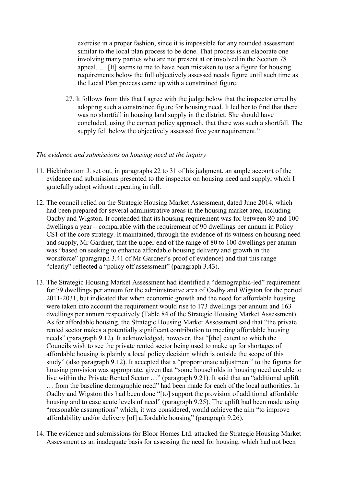exercise in a proper fashion, since it is impossible for any rounded assessment similar to the local plan process to be done. That process is an elaborate one involving many parties who are not present at or involved in the Section 78 appeal. … [It] seems to me to have been mistaken to use a figure for housing requirements below the full objectively assessed needs figure until such time as the Local Plan process came up with a constrained figure.

 27. It follows from this that I agree with the judge below that the inspector erred by adopting such a constrained figure for housing need. It led her to find that there was no shortfall in housing land supply in the district. She should have concluded, using the correct policy approach, that there was such a shortfall. The supply fell below the objectively assessed five year requirement."

#### *The evidence and submissions on housing need at the inquiry*

- 11. Hickinbottom J. set out, in paragraphs 22 to 31 of his judgment, an ample account of the evidence and submissions presented to the inspector on housing need and supply, which I gratefully adopt without repeating in full.
- 12. The council relied on the Strategic Housing Market Assessment, dated June 2014, which had been prepared for several administrative areas in the housing market area, including Oadby and Wigston. It contended that its housing requirement was for between 80 and 100 dwellings a year – comparable with the requirement of 90 dwellings per annum in Policy CS1 of the core strategy. It maintained, through the evidence of its witness on housing need and supply, Mr Gardner, that the upper end of the range of 80 to 100 dwellings per annum was "based on seeking to enhance affordable housing delivery and growth in the workforce" (paragraph 3.41 of Mr Gardner's proof of evidence) and that this range "clearly" reflected a "policy off assessment" (paragraph 3.43).
- 13. The Strategic Housing Market Assessment had identified a "demographic-led" requirement for 79 dwellings per annum for the administrative area of Oadby and Wigston for the period 2011-2031, but indicated that when economic growth and the need for affordable housing were taken into account the requirement would rise to 173 dwellings per annum and 163 dwellings per annum respectively (Table 84 of the Strategic Housing Market Assessment). As for affordable housing, the Strategic Housing Market Assessment said that "the private rented sector makes a potentially significant contribution to meeting affordable housing needs" (paragraph 9.12). It acknowledged, however, that "[the] extent to which the Councils wish to see the private rented sector being used to make up for shortages of affordable housing is plainly a local policy decision which is outside the scope of this study" (also paragraph 9.12). It accepted that a "proportionate adjustment" to the figures for housing provision was appropriate, given that "some households in housing need are able to live within the Private Rented Sector …" (paragraph 9.21). It said that an "additional uplift … from the baseline demographic need" had been made for each of the local authorities. In Oadby and Wigston this had been done "[to] support the provision of additional affordable housing and to ease acute levels of need" (paragraph 9.25). The uplift had been made using "reasonable assumptions" which, it was considered, would achieve the aim "to improve affordability and/or delivery [of] affordable housing" (paragraph 9.26).
- 14. The evidence and submissions for Bloor Homes Ltd. attacked the Strategic Housing Market Assessment as an inadequate basis for assessing the need for housing, which had not been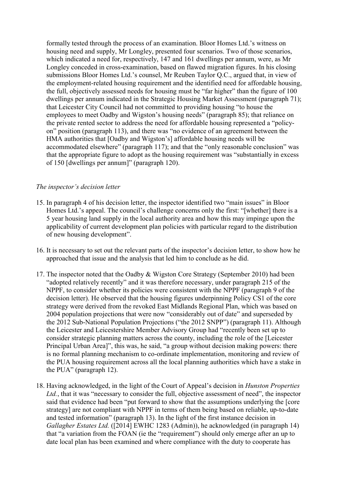formally tested through the process of an examination. Bloor Homes Ltd.'s witness on housing need and supply, Mr Longley, presented four scenarios. Two of those scenarios, which indicated a need for, respectively, 147 and 161 dwellings per annum, were, as Mr Longley conceded in cross-examination, based on flawed migration figures. In his closing submissions Bloor Homes Ltd.'s counsel, Mr Reuben Taylor Q.C., argued that, in view of the employment-related housing requirement and the identified need for affordable housing, the full, objectively assessed needs for housing must be "far higher" than the figure of 100 dwellings per annum indicated in the Strategic Housing Market Assessment (paragraph 71); that Leicester City Council had not committed to providing housing "to house the employees to meet Oadby and Wigston's housing needs" (paragraph 85); that reliance on the private rented sector to address the need for affordable housing represented a "policyon" position (paragraph 113), and there was "no evidence of an agreement between the HMA authorities that [Oadby and Wigston's] affordable housing needs will be accommodated elsewhere" (paragraph 117); and that the "only reasonable conclusion" was that the appropriate figure to adopt as the housing requirement was "substantially in excess of 150 [dwellings per annum]" (paragraph 120).

#### *The inspector's decision letter*

- 15. In paragraph 4 of his decision letter, the inspector identified two "main issues" in Bloor Homes Ltd.'s appeal. The council's challenge concerns only the first: "[whether] there is a 5 year housing land supply in the local authority area and how this may impinge upon the applicability of current development plan policies with particular regard to the distribution of new housing development".
- 16. It is necessary to set out the relevant parts of the inspector's decision letter, to show how he approached that issue and the analysis that led him to conclude as he did.
- 17. The inspector noted that the Oadby & Wigston Core Strategy (September 2010) had been "adopted relatively recently" and it was therefore necessary, under paragraph 215 of the NPPF, to consider whether its policies were consistent with the NPPF (paragraph 9 of the decision letter). He observed that the housing figures underpinning Policy CS1 of the core strategy were derived from the revoked East Midlands Regional Plan, which was based on 2004 population projections that were now "considerably out of date" and superseded by the 2012 Sub-National Population Projections ("the 2012 SNPP") (paragraph 11). Although the Leicester and Leicestershire Member Advisory Group had "recently been set up to consider strategic planning matters across the county, including the role of the [Leicester Principal Urban Area]", this was, he said, "a group without decision making powers: there is no formal planning mechanism to co-ordinate implementation, monitoring and review of the PUA housing requirement across all the local planning authorities which have a stake in the PUA" (paragraph 12).
- 18. Having acknowledged, in the light of the Court of Appeal's decision in *Hunston Properties*  Ltd., that it was "necessary to consider the full, objective assessment of need", the inspector said that evidence had been "put forward to show that the assumptions underlying the [core strategy] are not compliant with NPPF in terms of them being based on reliable, up-to-date and tested information" (paragraph 13). In the light of the first instance decision in *Gallagher Estates Ltd.* ([2014] EWHC 1283 (Admin)), he acknowledged (in paragraph 14) that "a variation from the FOAN (ie the "requirement") should only emerge after an up to date local plan has been examined and where compliance with the duty to cooperate has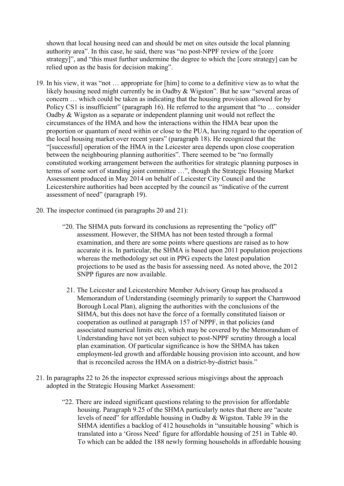shown that local housing need can and should be met on sites outside the local planning authority area". In this case, he said, there was "no post-NPPF review of the [core strategy]", and "this must further undermine the degree to which the [core strategy] can be relied upon as the basis for decision making".

- 19. In his view, it was "not … appropriate for [him] to come to a definitive view as to what the likely housing need might currently be in Oadby & Wigston". But he saw "several areas of concern … which could be taken as indicating that the housing provision allowed for by Policy CS1 is insufficient" (paragraph 16). He referred to the argument that "to ... consider Oadby & Wigston as a separate or independent planning unit would not reflect the circumstances of the HMA and how the interactions within the HMA bear upon the proportion or quantum of need within or close to the PUA, having regard to the operation of the local housing market over recent years" (paragraph 18). He recognized that the "[successful] operation of the HMA in the Leicester area depends upon close cooperation between the neighbouring planning authorities". There seemed to be "no formally constituted working arrangement between the authorities for strategic planning purposes in terms of some sort of standing joint committee …", though the Strategic Housing Market Assessment produced in May 2014 on behalf of Leicester City Council and the Leicestershire authorities had been accepted by the council as "indicative of the current assessment of need" (paragraph 19).
- 20. The inspector continued (in paragraphs 20 and 21):
	- "20. The SHMA puts forward its conclusions as representing the "policy off" assessment. However, the SHMA has not been tested through a formal examination, and there are some points where questions are raised as to how accurate it is. In particular, the SHMA is based upon 2011 population projections whereas the methodology set out in PPG expects the latest population projections to be used as the basis for assessing need. As noted above, the 2012 SNPP figures are now available.
		- 21. The Leicester and Leicestershire Member Advisory Group has produced a Memorandum of Understanding (seemingly primarily to support the Charnwood Borough Local Plan), aligning the authorities with the conclusions of the SHMA, but this does not have the force of a formally constituted liaison or cooperation as outlined at paragraph 157 of NPPF, in that policies (and associated numerical limits etc), which may be covered by the Memorandum of Understanding have not yet been subject to post-NPPF scrutiny through a local plan examination. Of particular significance is how the SHMA has taken employment-led growth and affordable housing provision into account, and how that is reconciled across the HMA on a district-by-district basis."
- 21. In paragraphs 22 to 26 the inspector expressed serious misgivings about the approach adopted in the Strategic Housing Market Assessment:
	- "22. There are indeed significant questions relating to the provision for affordable housing. Paragraph 9.25 of the SHMA particularly notes that there are "acute levels of need" for affordable housing in Oadby & Wigston. Table 39 in the SHMA identifies a backlog of 412 households in "unsuitable housing" which is translated into a 'Gross Need' figure for affordable housing of 251 in Table 40. To which can be added the 188 newly forming households in affordable housing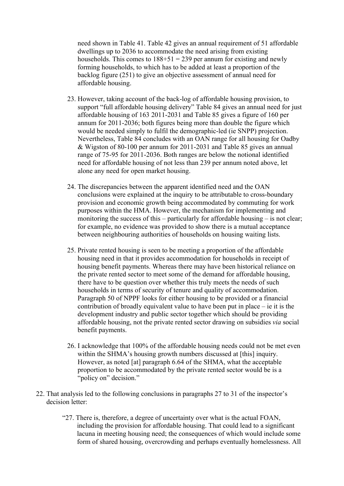need shown in Table 41. Table 42 gives an annual requirement of 51 affordable dwellings up to 2036 to accommodate the need arising from existing households. This comes to  $188+51 = 239$  per annum for existing and newly forming households, to which has to be added at least a proportion of the backlog figure (251) to give an objective assessment of annual need for affordable housing.

- 23. However, taking account of the back-log of affordable housing provision, to support "full affordable housing delivery" Table 84 gives an annual need for just affordable housing of 163 2011-2031 and Table 85 gives a figure of 160 per annum for 2011-2036; both figures being more than double the figure which would be needed simply to fulfil the demographic-led (ie SNPP) projection. Nevertheless, Table 84 concludes with an OAN range for all housing for Oadby & Wigston of 80-100 per annum for 2011-2031 and Table 85 gives an annual range of 75-95 for 2011-2036. Both ranges are below the notional identified need for affordable housing of not less than 239 per annum noted above, let alone any need for open market housing.
- 24. The discrepancies between the apparent identified need and the OAN conclusions were explained at the inquiry to be attributable to cross-boundary provision and economic growth being accommodated by commuting for work purposes within the HMA. However, the mechanism for implementing and monitoring the success of this – particularly for affordable housing – is not clear; for example, no evidence was provided to show there is a mutual acceptance between neighbouring authorities of households on housing waiting lists.
- 25. Private rented housing is seen to be meeting a proportion of the affordable housing need in that it provides accommodation for households in receipt of housing benefit payments. Whereas there may have been historical reliance on the private rented sector to meet some of the demand for affordable housing, there have to be question over whether this truly meets the needs of such households in terms of security of tenure and quality of accommodation. Paragraph 50 of NPPF looks for either housing to be provided or a financial contribution of broadly equivalent value to have been put in place – ie it is the development industry and public sector together which should be providing affordable housing, not the private rented sector drawing on subsidies *via* social benefit payments.
- 26. I acknowledge that 100% of the affordable housing needs could not be met even within the SHMA's housing growth numbers discussed at [this] inquiry. However, as noted [at] paragraph 6.64 of the SHMA, what the acceptable proportion to be accommodated by the private rented sector would be is a "policy on" decision."
- 22. That analysis led to the following conclusions in paragraphs 27 to 31 of the inspector's decision letter<sup>.</sup>
	- "27. There is, therefore, a degree of uncertainty over what is the actual FOAN, including the provision for affordable housing. That could lead to a significant lacuna in meeting housing need; the consequences of which would include some form of shared housing, overcrowding and perhaps eventually homelessness. All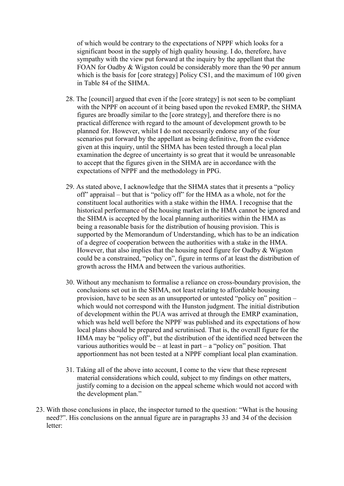of which would be contrary to the expectations of NPPF which looks for a significant boost in the supply of high quality housing. I do, therefore, have sympathy with the view put forward at the inquiry by the appellant that the FOAN for Oadby & Wigston could be considerably more than the 90 per annum which is the basis for [core strategy] Policy CS1, and the maximum of 100 given in Table 84 of the SHMA.

- 28. The [council] argued that even if the [core strategy] is not seen to be compliant with the NPPF on account of it being based upon the revoked EMRP, the SHMA figures are broadly similar to the [core strategy], and therefore there is no practical difference with regard to the amount of development growth to be planned for. However, whilst I do not necessarily endorse any of the four scenarios put forward by the appellant as being definitive, from the evidence given at this inquiry, until the SHMA has been tested through a local plan examination the degree of uncertainty is so great that it would be unreasonable to accept that the figures given in the SHMA are in accordance with the expectations of NPPF and the methodology in PPG.
- 29. As stated above, I acknowledge that the SHMA states that it presents a "policy off" appraisal – but that is "policy off" for the HMA as a whole, not for the constituent local authorities with a stake within the HMA. I recognise that the historical performance of the housing market in the HMA cannot be ignored and the SHMA is accepted by the local planning authorities within the HMA as being a reasonable basis for the distribution of housing provision. This is supported by the Memorandum of Understanding, which has to be an indication of a degree of cooperation between the authorities with a stake in the HMA. However, that also implies that the housing need figure for Oadby & Wigston could be a constrained, "policy on", figure in terms of at least the distribution of growth across the HMA and between the various authorities.
- 30. Without any mechanism to formalise a reliance on cross-boundary provision, the conclusions set out in the SHMA, not least relating to affordable housing provision, have to be seen as an unsupported or untested "policy on" position – which would not correspond with the Hunston judgment. The initial distribution of development within the PUA was arrived at through the EMRP examination, which was held well before the NPPF was published and its expectations of how local plans should be prepared and scrutinised. That is, the overall figure for the HMA may be "policy off", but the distribution of the identified need between the various authorities would be – at least in part – a "policy on" position. That apportionment has not been tested at a NPPF compliant local plan examination.
- 31. Taking all of the above into account, I come to the view that these represent material considerations which could, subject to my findings on other matters, justify coming to a decision on the appeal scheme which would not accord with the development plan."
- 23. With those conclusions in place, the inspector turned to the question: "What is the housing need?". His conclusions on the annual figure are in paragraphs 33 and 34 of the decision letter: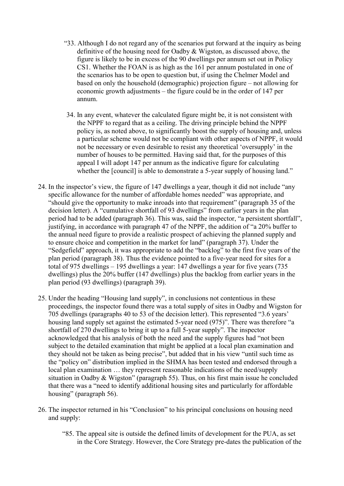- "33. Although I do not regard any of the scenarios put forward at the inquiry as being definitive of the housing need for Oadby & Wigston, as discussed above, the figure is likely to be in excess of the 90 dwellings per annum set out in Policy CS1. Whether the FOAN is as high as the 161 per annum postulated in one of the scenarios has to be open to question but, if using the Chelmer Model and based on only the household (demographic) projection figure – not allowing for economic growth adjustments – the figure could be in the order of 147 per annum.
- 34. In any event, whatever the calculated figure might be, it is not consistent with the NPPF to regard that as a ceiling. The driving principle behind the NPPF policy is, as noted above, to significantly boost the supply of housing and, unless a particular scheme would not be compliant with other aspects of NPPF, it would not be necessary or even desirable to resist any theoretical 'oversupply' in the number of houses to be permitted. Having said that, for the purposes of this appeal I will adopt 147 per annum as the indicative figure for calculating whether the [council] is able to demonstrate a 5-year supply of housing land."
- 24. In the inspector's view, the figure of 147 dwellings a year, though it did not include "any specific allowance for the number of affordable homes needed" was appropriate, and "should give the opportunity to make inroads into that requirement" (paragraph 35 of the decision letter). A "cumulative shortfall of 93 dwellings" from earlier years in the plan period had to be added (paragraph 36). This was, said the inspector, "a persistent shortfall", justifying, in accordance with paragraph 47 of the NPPF, the addition of "a 20% buffer to the annual need figure to provide a realistic prospect of achieving the planned supply and to ensure choice and competition in the market for land" (paragraph 37). Under the "Sedgefield" approach, it was appropriate to add the "backlog" to the first five years of the plan period (paragraph 38). Thus the evidence pointed to a five-year need for sites for a total of 975 dwellings – 195 dwellings a year: 147 dwellings a year for five years (735 dwellings) plus the 20% buffer (147 dwellings) plus the backlog from earlier years in the plan period (93 dwellings) (paragraph 39).
- 25. Under the heading "Housing land supply", in conclusions not contentious in these proceedings, the inspector found there was a total supply of sites in Oadby and Wigston for 705 dwellings (paragraphs 40 to 53 of the decision letter). This represented "3.6 years' housing land supply set against the estimated 5-year need (975)". There was therefore "a shortfall of 270 dwellings to bring it up to a full 5-year supply". The inspector acknowledged that his analysis of both the need and the supply figures had "not been subject to the detailed examination that might be applied at a local plan examination and they should not be taken as being precise", but added that in his view "until such time as the "policy on" distribution implied in the SHMA has been tested and endorsed through a local plan examination … they represent reasonable indications of the need/supply situation in Oadby & Wigston" (paragraph 55). Thus, on his first main issue he concluded that there was a "need to identify additional housing sites and particularly for affordable housing" (paragraph 56).
- 26. The inspector returned in his "Conclusion" to his principal conclusions on housing need and supply:
	- "85. The appeal site is outside the defined limits of development for the PUA, as set in the Core Strategy. However, the Core Strategy pre-dates the publication of the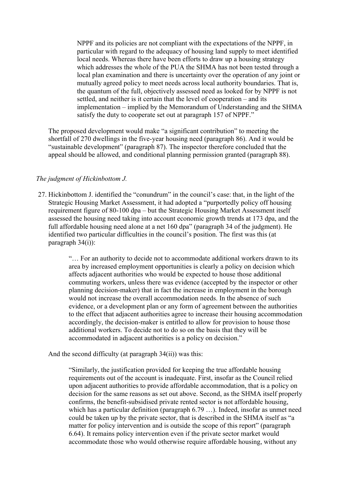NPPF and its policies are not compliant with the expectations of the NPPF, in particular with regard to the adequacy of housing land supply to meet identified local needs. Whereas there have been efforts to draw up a housing strategy which addresses the whole of the PUA the SHMA has not been tested through a local plan examination and there is uncertainty over the operation of any joint or mutually agreed policy to meet needs across local authority boundaries. That is, the quantum of the full, objectively assessed need as looked for by NPPF is not settled, and neither is it certain that the level of cooperation – and its implementation – implied by the Memorandum of Understanding and the SHMA satisfy the duty to cooperate set out at paragraph 157 of NPPF."

The proposed development would make "a significant contribution" to meeting the shortfall of 270 dwellings in the five-year housing need (paragraph 86). And it would be "sustainable development" (paragraph 87). The inspector therefore concluded that the appeal should be allowed, and conditional planning permission granted (paragraph 88).

#### *The judgment of Hickinbottom J.*

27. Hickinbottom J. identified the "conundrum" in the council's case: that, in the light of the Strategic Housing Market Assessment, it had adopted a "purportedly policy off housing requirement figure of 80-100 dpa – but the Strategic Housing Market Assessment itself assessed the housing need taking into account economic growth trends at 173 dpa, and the full affordable housing need alone at a net 160 dpa" (paragraph 34 of the judgment). He identified two particular difficulties in the council's position. The first was this (at paragraph 34(i)):

> "… For an authority to decide not to accommodate additional workers drawn to its area by increased employment opportunities is clearly a policy on decision which affects adjacent authorities who would be expected to house those additional commuting workers, unless there was evidence (accepted by the inspector or other planning decision-maker) that in fact the increase in employment in the borough would not increase the overall accommodation needs. In the absence of such evidence, or a development plan or any form of agreement between the authorities to the effect that adjacent authorities agree to increase their housing accommodation accordingly, the decision-maker is entitled to allow for provision to house those additional workers. To decide not to do so on the basis that they will be accommodated in adjacent authorities is a policy on decision."

And the second difficulty (at paragraph 34(ii)) was this:

"Similarly, the justification provided for keeping the true affordable housing requirements out of the account is inadequate. First, insofar as the Council relied upon adjacent authorities to provide affordable accommodation, that is a policy on decision for the same reasons as set out above. Second, as the SHMA itself properly confirms, the benefit-subsidised private rented sector is not affordable housing, which has a particular definition (paragraph 6.79 ...). Indeed, insofar as unmet need could be taken up by the private sector, that is described in the SHMA itself as "a matter for policy intervention and is outside the scope of this report" (paragraph 6.64). It remains policy intervention even if the private sector market would accommodate those who would otherwise require affordable housing, without any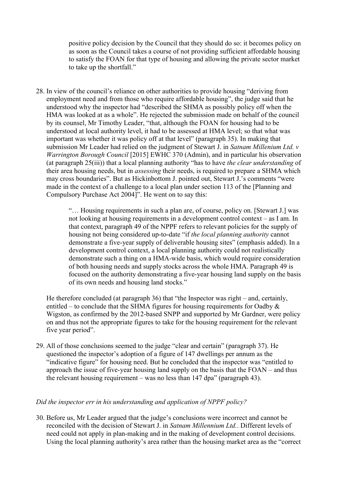positive policy decision by the Council that they should do so: it becomes policy on as soon as the Council takes a course of not providing sufficient affordable housing to satisfy the FOAN for that type of housing and allowing the private sector market to take up the shortfall."

28. In view of the council's reliance on other authorities to provide housing "deriving from employment need and from those who require affordable housing", the judge said that he understood why the inspector had "described the SHMA as possibly policy off when the HMA was looked at as a whole". He rejected the submission made on behalf of the council by its counsel, Mr Timothy Leader, "that, although the FOAN for housing had to be understood at local authority level, it had to be assessed at HMA level; so that what was important was whether it was policy off at that level" (paragraph 35). In making that submission Mr Leader had relied on the judgment of Stewart J. in *Satnam Millenium Ltd. v Warrington Borough Council* [2015] EWHC 370 (Admin), and in particular his observation (at paragraph 25(iii)) that a local planning authority "has to have *the clear understanding* of their area housing needs, but in *assessing* their needs, is required to prepare a SHMA which may cross boundaries". But as Hickinbottom J. pointed out, Stewart J.'s comments "were made in the context of a challenge to a local plan under section 113 of the [Planning and Compulsory Purchase Act 2004]". He went on to say this:

> "… Housing requirements in such a plan are, of course, policy on. [Stewart J.] was not looking at housing requirements in a development control context – as I am. In that context, paragraph 49 of the NPPF refers to relevant policies for the supply of housing not being considered up-to-date "if *the local planning authority* cannot demonstrate a five-year supply of deliverable housing sites" (emphasis added). In a development control context, a local planning authority could not realistically demonstrate such a thing on a HMA-wide basis, which would require consideration of both housing needs and supply stocks across the whole HMA. Paragraph 49 is focused on the authority demonstrating a five-year housing land supply on the basis of its own needs and housing land stocks."

He therefore concluded (at paragraph 36) that "the Inspector was right – and, certainly, entitled – to conclude that the SHMA figures for housing requirements for Oadby  $\&$ Wigston, as confirmed by the 2012-based SNPP and supported by Mr Gardner, were policy on and thus not the appropriate figures to take for the housing requirement for the relevant five year period".

29. All of those conclusions seemed to the judge "clear and certain" (paragraph 37). He questioned the inspector's adoption of a figure of 147 dwellings per annum as the "indicative figure" for housing need. But he concluded that the inspector was "entitled to approach the issue of five-year housing land supply on the basis that the FOAN – and thus the relevant housing requirement – was no less than 147 dpa" (paragraph 43).

#### *Did the inspector err in his understanding and application of NPPF policy?*

30. Before us, Mr Leader argued that the judge's conclusions were incorrect and cannot be reconciled with the decision of Stewart J. in *Satnam Millennium Ltd.*. Different levels of need could not apply in plan-making and in the making of development control decisions. Using the local planning authority's area rather than the housing market area as the "correct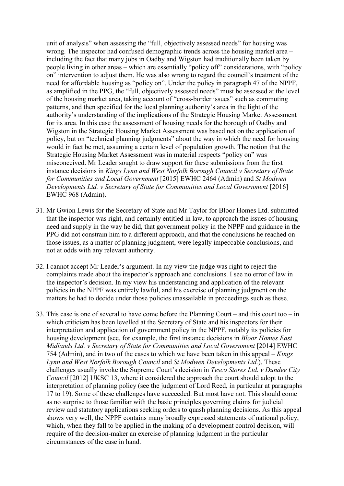unit of analysis" when assessing the "full, objectively assessed needs" for housing was wrong. The inspector had confused demographic trends across the housing market area – including the fact that many jobs in Oadby and Wigston had traditionally been taken by people living in other areas – which are essentially "policy off" considerations, with "policy on" intervention to adjust them. He was also wrong to regard the council's treatment of the need for affordable housing as "policy on". Under the policy in paragraph 47 of the NPPF, as amplified in the PPG, the "full, objectively assessed needs" must be assessed at the level of the housing market area, taking account of "cross-border issues" such as commuting patterns, and then specified for the local planning authority's area in the light of the authority's understanding of the implications of the Strategic Housing Market Assessment for its area. In this case the assessment of housing needs for the borough of Oadby and Wigston in the Strategic Housing Market Assessment was based not on the application of policy, but on "technical planning judgments" about the way in which the need for housing would in fact be met, assuming a certain level of population growth. The notion that the Strategic Housing Market Assessment was in material respects "policy on" was misconceived. Mr Leader sought to draw support for these submissions from the first instance decisions in *Kings Lynn and West Norfolk Borough Council v Secretary of State for Communities and Local Government* [2015] EWHC 2464 (Admin) and *St Modwen Developments Ltd. v Secretary of State for Communities and Local Government* [2016] EWHC 968 (Admin).

- 31. Mr Gwion Lewis for the Secretary of State and Mr Taylor for Bloor Homes Ltd. submitted that the inspector was right, and certainly entitled in law, to approach the issues of housing need and supply in the way he did, that government policy in the NPPF and guidance in the PPG did not constrain him to a different approach, and that the conclusions he reached on those issues, as a matter of planning judgment, were legally impeccable conclusions, and not at odds with any relevant authority.
- 32. I cannot accept Mr Leader's argument. In my view the judge was right to reject the complaints made about the inspector's approach and conclusions. I see no error of law in the inspector's decision. In my view his understanding and application of the relevant policies in the NPPF was entirely lawful, and his exercise of planning judgment on the matters he had to decide under those policies unassailable in proceedings such as these.
- 33. This case is one of several to have come before the Planning Court and this court too in which criticism has been levelled at the Secretary of State and his inspectors for their interpretation and application of government policy in the NPPF, notably its policies for housing development (see, for example, the first instance decisions in *Bloor Homes East Midlands Ltd. v Secretary of State for Communities and Local Government* [2014] EWHC 754 (Admin), and in two of the cases to which we have been taken in this appeal – *Kings Lynn and West Norfolk Borough Council* and *St Modwen Developments Ltd.*). These challenges usually invoke the Supreme Court's decision in *Tesco Stores Ltd. v Dundee City Council* [2012] UKSC 13, where it considered the approach the court should adopt to the interpretation of planning policy (see the judgment of Lord Reed, in particular at paragraphs 17 to 19). Some of these challenges have succeeded. But most have not. This should come as no surprise to those familiar with the basic principles governing claims for judicial review and statutory applications seeking orders to quash planning decisions. As this appeal shows very well, the NPPF contains many broadly expressed statements of national policy, which, when they fall to be applied in the making of a development control decision, will require of the decision-maker an exercise of planning judgment in the particular circumstances of the case in hand.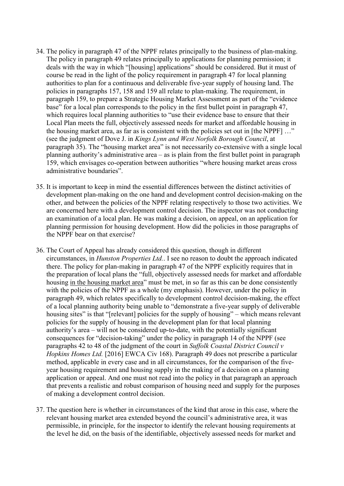- 34. The policy in paragraph 47 of the NPPF relates principally to the business of plan-making. The policy in paragraph 49 relates principally to applications for planning permission; it deals with the way in which "[housing] applications" should be considered. But it must of course be read in the light of the policy requirement in paragraph 47 for local planning authorities to plan for a continuous and deliverable five-year supply of housing land. The policies in paragraphs 157, 158 and 159 all relate to plan-making. The requirement, in paragraph 159, to prepare a Strategic Housing Market Assessment as part of the "evidence base" for a local plan corresponds to the policy in the first bullet point in paragraph 47, which requires local planning authorities to "use their evidence base to ensure that their Local Plan meets the full, objectively assessed needs for market and affordable housing in the housing market area, as far as is consistent with the policies set out in  $[the NPPF] \dots$ " (see the judgment of Dove J. in *Kings Lynn and West Norfolk Borough Council*, at paragraph 35). The "housing market area" is not necessarily co-extensive with a single local planning authority's administrative area – as is plain from the first bullet point in paragraph 159, which envisages co-operation between authorities "where housing market areas cross administrative boundaries".
- 35. It is important to keep in mind the essential differences between the distinct activities of development plan-making on the one hand and development control decision-making on the other, and between the policies of the NPPF relating respectively to those two activities. We are concerned here with a development control decision. The inspector was not conducting an examination of a local plan. He was making a decision, on appeal, on an application for planning permission for housing development. How did the policies in those paragraphs of the NPPF bear on that exercise?
- 36. The Court of Appeal has already considered this question, though in different circumstances, in *Hunston Properties Ltd.*. I see no reason to doubt the approach indicated there. The policy for plan-making in paragraph 47 of the NPPF explicitly requires that in the preparation of local plans the "full, objectively assessed needs for market and affordable housing in the housing market area" must be met, in so far as this can be done consistently with the policies of the NPPF as a whole (my emphasis). However, under the policy in paragraph 49, which relates specifically to development control decision-making, the effect of a local planning authority being unable to "demonstrate a five-year supply of deliverable housing sites" is that "[relevant] policies for the supply of housing" – which means relevant policies for the supply of housing in the development plan for that local planning authority's area – will not be considered up-to-date, with the potentially significant consequences for "decision-taking" under the policy in paragraph 14 of the NPPF (see paragraphs 42 to 48 of the judgment of the court in *Suffolk Coastal District Council v Hopkins Homes Ltd.* [2016] EWCA Civ 168). Paragraph 49 does not prescribe a particular method, applicable in every case and in all circumstances, for the comparison of the fiveyear housing requirement and housing supply in the making of a decision on a planning application or appeal. And one must not read into the policy in that paragraph an approach that prevents a realistic and robust comparison of housing need and supply for the purposes of making a development control decision.
- 37. The question here is whether in circumstances of the kind that arose in this case, where the relevant housing market area extended beyond the council's administrative area, it was permissible, in principle, for the inspector to identify the relevant housing requirements at the level he did, on the basis of the identifiable, objectively assessed needs for market and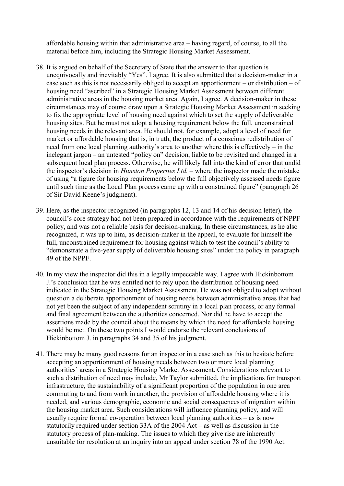affordable housing within that administrative area – having regard, of course, to all the material before him, including the Strategic Housing Market Assessment.

- 38. It is argued on behalf of the Secretary of State that the answer to that question is unequivocally and inevitably "Yes". I agree. It is also submitted that a decision-maker in a case such as this is not necessarily obliged to accept an apportionment – or distribution – of housing need "ascribed" in a Strategic Housing Market Assessment between different administrative areas in the housing market area. Again, I agree. A decision-maker in these circumstances may of course draw upon a Strategic Housing Market Assessment in seeking to fix the appropriate level of housing need against which to set the supply of deliverable housing sites. But he must not adopt a housing requirement below the full, unconstrained housing needs in the relevant area. He should not, for example, adopt a level of need for market or affordable housing that is, in truth, the product of a conscious redistribution of need from one local planning authority's area to another where this is effectively – in the inelegant jargon – an untested "policy on" decision, liable to be revisited and changed in a subsequent local plan process. Otherwise, he will likely fall into the kind of error that undid the inspector's decision in *Hunston Properties Ltd.* – where the inspector made the mistake of using "a figure for housing requirements below the full objectively assessed needs figure until such time as the Local Plan process came up with a constrained figure" (paragraph 26 of Sir David Keene's judgment).
- 39. Here, as the inspector recognized (in paragraphs 12, 13 and 14 of his decision letter), the council's core strategy had not been prepared in accordance with the requirements of NPPF policy, and was not a reliable basis for decision-making. In these circumstances, as he also recognized, it was up to him, as decision-maker in the appeal, to evaluate for himself the full, unconstrained requirement for housing against which to test the council's ability to "demonstrate a five-year supply of deliverable housing sites" under the policy in paragraph 49 of the NPPF.
- 40. In my view the inspector did this in a legally impeccable way. I agree with Hickinbottom J.'s conclusion that he was entitled not to rely upon the distribution of housing need indicated in the Strategic Housing Market Assessment. He was not obliged to adopt without question a deliberate apportionment of housing needs between administrative areas that had not yet been the subject of any independent scrutiny in a local plan process, or any formal and final agreement between the authorities concerned. Nor did he have to accept the assertions made by the council about the means by which the need for affordable housing would be met. On these two points I would endorse the relevant conclusions of Hickinbottom J. in paragraphs 34 and 35 of his judgment.
- 41. There may be many good reasons for an inspector in a case such as this to hesitate before accepting an apportionment of housing needs between two or more local planning authorities' areas in a Strategic Housing Market Assessment. Considerations relevant to such a distribution of need may include, Mr Taylor submitted, the implications for transport infrastructure, the sustainability of a significant proportion of the population in one area commuting to and from work in another, the provision of affordable housing where it is needed, and various demographic, economic and social consequences of migration within the housing market area. Such considerations will influence planning policy, and will usually require formal co-operation between local planning authorities – as is now statutorily required under section 33A of the 2004 Act – as well as discussion in the statutory process of plan-making. The issues to which they give rise are inherently unsuitable for resolution at an inquiry into an appeal under section 78 of the 1990 Act.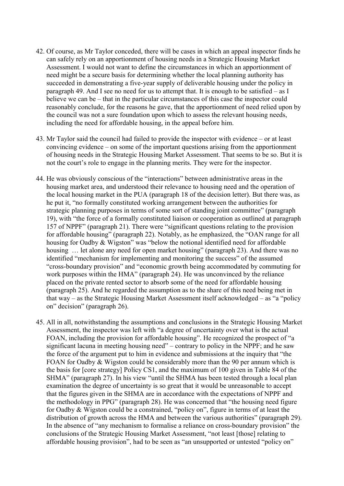- 42. Of course, as Mr Taylor conceded, there will be cases in which an appeal inspector finds he can safely rely on an apportionment of housing needs in a Strategic Housing Market Assessment. I would not want to define the circumstances in which an apportionment of need might be a secure basis for determining whether the local planning authority has succeeded in demonstrating a five-year supply of deliverable housing under the policy in paragraph 49. And I see no need for us to attempt that. It is enough to be satisfied – as I believe we can be – that in the particular circumstances of this case the inspector could reasonably conclude, for the reasons he gave, that the apportionment of need relied upon by the council was not a sure foundation upon which to assess the relevant housing needs, including the need for affordable housing, in the appeal before him.
- 43. Mr Taylor said the council had failed to provide the inspector with evidence or at least convincing evidence – on some of the important questions arising from the apportionment of housing needs in the Strategic Housing Market Assessment. That seems to be so. But it is not the court's role to engage in the planning merits. They were for the inspector.
- 44. He was obviously conscious of the "interactions" between administrative areas in the housing market area, and understood their relevance to housing need and the operation of the local housing market in the PUA (paragraph 18 of the decision letter). But there was, as he put it, "no formally constituted working arrangement between the authorities for strategic planning purposes in terms of some sort of standing joint committee" (paragraph 19), with "the force of a formally constituted liaison or cooperation as outlined at paragraph 157 of NPPF" (paragraph 21). There were "significant questions relating to the provision for affordable housing" (paragraph 22). Notably, as he emphasized, the "OAN range for all housing for Oadby & Wigston" was "below the notional identified need for affordable housing ... let alone any need for open market housing" (paragraph 23). And there was no identified "mechanism for implementing and monitoring the success" of the assumed "cross-boundary provision" and "economic growth being accommodated by commuting for work purposes within the HMA" (paragraph 24). He was unconvinced by the reliance placed on the private rented sector to absorb some of the need for affordable housing (paragraph 25). And he regarded the assumption as to the share of this need being met in that way – as the Strategic Housing Market Assessment itself acknowledged – as "a "policy on" decision" (paragraph 26).
- 45. All in all, notwithstanding the assumptions and conclusions in the Strategic Housing Market Assessment, the inspector was left with "a degree of uncertainty over what is the actual FOAN, including the provision for affordable housing". He recognized the prospect of "a significant lacuna in meeting housing need" – contrary to policy in the NPPF; and he saw the force of the argument put to him in evidence and submissions at the inquiry that "the FOAN for Oadby & Wigston could be considerably more than the 90 per annum which is the basis for [core strategy] Policy CS1, and the maximum of 100 given in Table 84 of the SHMA" (paragraph 27). In his view "until the SHMA has been tested through a local plan examination the degree of uncertainty is so great that it would be unreasonable to accept that the figures given in the SHMA are in accordance with the expectations of NPPF and the methodology in PPG" (paragraph 28). He was concerned that "the housing need figure for Oadby & Wigston could be a constrained, "policy on", figure in terms of at least the distribution of growth across the HMA and between the various authorities" (paragraph 29). In the absence of "any mechanism to formalise a reliance on cross-boundary provision" the conclusions of the Strategic Housing Market Assessment, "not least [those] relating to affordable housing provision", had to be seen as "an unsupported or untested "policy on"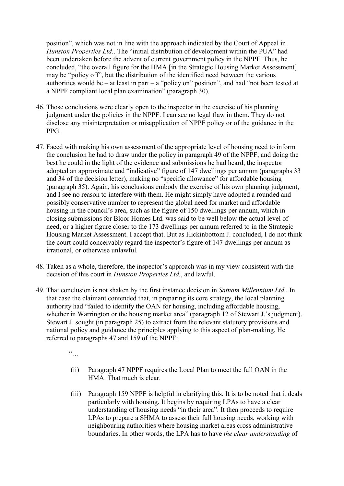position", which was not in line with the approach indicated by the Court of Appeal in *Hunston Properties Ltd.*. The "initial distribution of development within the PUA" had been undertaken before the advent of current government policy in the NPPF. Thus, he concluded, "the overall figure for the HMA [in the Strategic Housing Market Assessment] may be "policy off", but the distribution of the identified need between the various authorities would be – at least in part – a "policy on" position", and had "not been tested at a NPPF compliant local plan examination" (paragraph 30).

- 46. Those conclusions were clearly open to the inspector in the exercise of his planning judgment under the policies in the NPPF. I can see no legal flaw in them. They do not disclose any misinterpretation or misapplication of NPPF policy or of the guidance in the PPG.
- 47. Faced with making his own assessment of the appropriate level of housing need to inform the conclusion he had to draw under the policy in paragraph 49 of the NPPF, and doing the best he could in the light of the evidence and submissions he had heard, the inspector adopted an approximate and "indicative" figure of 147 dwellings per annum (paragraphs 33 and 34 of the decision letter), making no "specific allowance" for affordable housing (paragraph 35). Again, his conclusions embody the exercise of his own planning judgment, and I see no reason to interfere with them. He might simply have adopted a rounded and possibly conservative number to represent the global need for market and affordable housing in the council's area, such as the figure of 150 dwellings per annum, which in closing submissions for Bloor Homes Ltd. was said to be well below the actual level of need, or a higher figure closer to the 173 dwellings per annum referred to in the Strategic Housing Market Assessment. I accept that. But as Hickinbottom J. concluded, I do not think the court could conceivably regard the inspector's figure of 147 dwellings per annum as irrational, or otherwise unlawful.
- 48. Taken as a whole, therefore, the inspector's approach was in my view consistent with the decision of this court in *Hunston Properties Ltd.*, and lawful.
- 49. That conclusion is not shaken by the first instance decision in *Satnam Millennium Ltd.*. In that case the claimant contended that, in preparing its core strategy, the local planning authority had "failed to identify the OAN for housing, including affordable housing, whether in Warrington or the housing market area" (paragraph 12 of Stewart J.'s judgment). Stewart J. sought (in paragraph 25) to extract from the relevant statutory provisions and national policy and guidance the principles applying to this aspect of plan-making. He referred to paragraphs 47 and 159 of the NPPF:

 $\frac{1}{2}$ 

- (ii) Paragraph 47 NPPF requires the Local Plan to meet the full OAN in the HMA. That much is clear.
- (iii) Paragraph 159 NPPF is helpful in clarifying this. It is to be noted that it deals particularly with housing. It begins by requiring LPAs to have a clear understanding of housing needs "in their area". It then proceeds to require LPAs to prepare a SHMA to assess their full housing needs, working with neighbouring authorities where housing market areas cross administrative boundaries. In other words, the LPA has to have *the clear understanding* of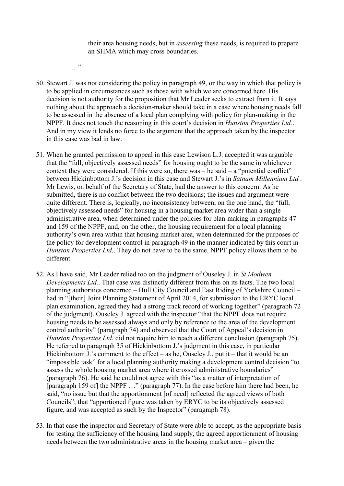their area housing needs, but in *assessing* these needs, is required to prepare an SHMA which may cross boundaries.

 $\cdots$  ".

- 50. Stewart J. was not considering the policy in paragraph 49, or the way in which that policy is to be applied in circumstances such as those with which we are concerned here. His decision is not authority for the proposition that Mr Leader seeks to extract from it. It says nothing about the approach a decision-maker should take in a case where housing needs fall to be assessed in the absence of a local plan complying with policy for plan-making in the NPPF. It does not touch the reasoning in this court's decision in *Hunston Properties Ltd.*. And in my view it lends no force to the argument that the approach taken by the inspector in this case was bad in law.
- 51. When he granted permission to appeal in this case Lewison L.J. accepted it was arguable that the "full, objectively assessed needs" for housing ought to be the same in whichever context they were considered. If this were so, there was  $-$  he said  $-$  a "potential conflict" between Hickinbottom J.'s decision in this case and Stewart J.'s in *Satnam Millennium Ltd.*. Mr Lewis, on behalf of the Secretary of State, had the answer to this concern. As he submitted, there is no conflict between the two decisions; the issues and argument were quite different. There is, logically, no inconsistency between, on the one hand, the "full, objectively assessed needs" for housing in a housing market area wider than a single administrative area, when determined under the policies for plan-making in paragraphs 47 and 159 of the NPPF, and, on the other, the housing requirement for a local planning authority's own area within that housing market area, when determined for the purposes of the policy for development control in paragraph 49 in the manner indicated by this court in *Hunston Properties Ltd.*. They do not have to be the same. NPPF policy allows them to be different.
- 52. As I have said, Mr Leader relied too on the judgment of Ouseley J. in *St Modwen Developments Ltd.*. That case was distinctly different from this on its facts. The two local planning authorities concerned – Hull City Council and East Riding of Yorkshire Council – had in "[their] Joint Planning Statement of April 2014, for submission to the ERYC local plan examination, agreed they had a strong track record of working together" (paragraph 72 of the judgment). Ouseley J. agreed with the inspector "that the NPPF does not require housing needs to be assessed always and only by reference to the area of the development control authority" (paragraph 74) and observed that the Court of Appeal's decision in *Hunston Properties Ltd.* did not require him to reach a different conclusion (paragraph 75). He referred to paragraph 35 of Hickinbottom J.'s judgment in this case, in particular Hickinbottom J.'s comment to the effect – as he, Ouseley J., put it – that it would be an "impossible task" for a local planning authority making a development control decision "to assess the whole housing market area where it crossed administrative boundaries" (paragraph 76). He said he could not agree with this "as a matter of interpretation of [paragraph 159 of] the NPPF …" (paragraph 77). In the case before him there had been, he said, "no issue but that the apportionment [of need] reflected the agreed views of both Councils"; that "apportioned figure was taken by ERYC to be its objectively assessed figure, and was accepted as such by the Inspector" (paragraph 78).
- 53. In that case the inspector and Secretary of State were able to accept, as the appropriate basis for testing the sufficiency of the housing land supply, the agreed apportionment of housing needs between the two administrative areas in the housing market area – given the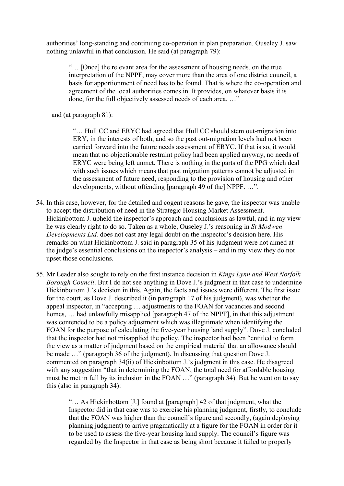authorities' long-standing and continuing co-operation in plan preparation. Ouseley J. saw nothing unlawful in that conclusion. He said (at paragraph 79):

"… [Once] the relevant area for the assessment of housing needs, on the true interpretation of the NPPF, may cover more than the area of one district council, a basis for apportionment of need has to be found. That is where the co-operation and agreement of the local authorities comes in. It provides, on whatever basis it is done, for the full objectively assessed needs of each area. …"

and (at paragraph 81):

"… Hull CC and ERYC had agreed that Hull CC should stem out-migration into ERY, in the interests of both, and so the past out-migration levels had not been carried forward into the future needs assessment of ERYC. If that is so, it would mean that no objectionable restraint policy had been applied anyway, no needs of ERYC were being left unmet. There is nothing in the parts of the PPG which deal with such issues which means that past migration patterns cannot be adjusted in the assessment of future need, responding to the provision of housing and other developments, without offending [paragraph 49 of the] NPPF. ...".

- 54. In this case, however, for the detailed and cogent reasons he gave, the inspector was unable to accept the distribution of need in the Strategic Housing Market Assessment. Hickinbottom J. upheld the inspector's approach and conclusions as lawful, and in my view he was clearly right to do so. Taken as a whole, Ouseley J.'s reasoning in *St Modwen Developments Ltd.* does not cast any legal doubt on the inspector's decision here. His remarks on what Hickinbottom J. said in paragraph 35 of his judgment were not aimed at the judge's essential conclusions on the inspector's analysis – and in my view they do not upset those conclusions.
- 55. Mr Leader also sought to rely on the first instance decision in *Kings Lynn and West Norfolk Borough Council*. But I do not see anything in Dove J.'s judgment in that case to undermine Hickinbottom J.'s decision in this. Again, the facts and issues were different. The first issue for the court, as Dove J. described it (in paragraph 17 of his judgment), was whether the appeal inspector, in "accepting … adjustments to the FOAN for vacancies and second homes, ... had unlawfully misapplied [paragraph 47 of the NPPF], in that this adjustment was contended to be a policy adjustment which was illegitimate when identifying the FOAN for the purpose of calculating the five-year housing land supply". Dove J. concluded that the inspector had not misapplied the policy. The inspector had been "entitled to form the view as a matter of judgment based on the empirical material that an allowance should be made …" (paragraph 36 of the judgment). In discussing that question Dove J. commented on paragraph 34(ii) of Hickinbottom J.'s judgment in this case. He disagreed with any suggestion "that in determining the FOAN, the total need for affordable housing must be met in full by its inclusion in the FOAN …" (paragraph 34). But he went on to say this (also in paragraph 34):

"… As Hickinbottom [J.] found at [paragraph] 42 of that judgment, what the Inspector did in that case was to exercise his planning judgment, firstly, to conclude that the FOAN was higher than the council's figure and secondly, (again deploying planning judgment) to arrive pragmatically at a figure for the FOAN in order for it to be used to assess the five-year housing land supply. The council's figure was regarded by the Inspector in that case as being short because it failed to properly